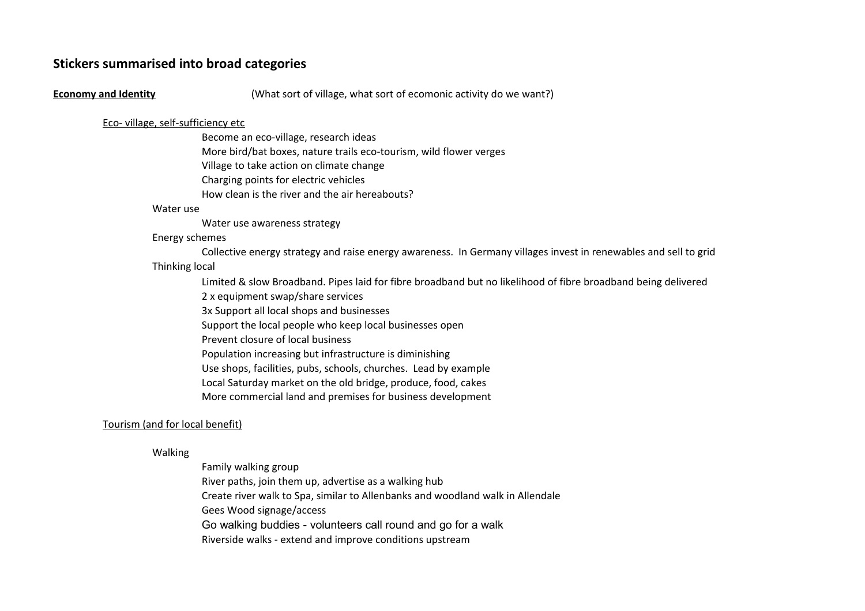# **Stickers summarised into broad categories**

#### **Economy and Identity**

(What sort of village, what sort of ecomonic activity do we want?)

# Eco- village, self-sufficiency etc

Village to take action on climate change Charging points for electric vehicles How clean is the river and the air hereabouts? Become an eco-village, research ideas More bird/bat boxes, nature trails eco-tourism, wild flower verges

#### Water use

Water use awareness strategy

### Energy schemes

Thinking local Collective energy strategy and raise energy awareness. In Germany villages invest in renewables and sell to grid

Limited & slow Broadband. Pipes laid for fibre broadband but no likelihood of fibre broadband being delivered

2 x equipment swap/share services

3x Support all local shops and businesses

Support the local people who keep local businesses open

Prevent closure of local business

Population increasing but infrastructure is diminishing

Use shops, facilities, pubs, schools, churches. Lead by example

Local Saturday market on the old bridge, produce, food, cakes

More commercial land and premises for business development

# Tourism (and for local benefit)

# Walking

Family walking group River paths, join them up, advertise as a walking hub Gees Wood signage/access Go walking buddies - volunteers call round and go for a walk Riverside walks - extend and improve conditions upstream Create river walk to Spa, similar to Allenbanks and woodland walk in Allendale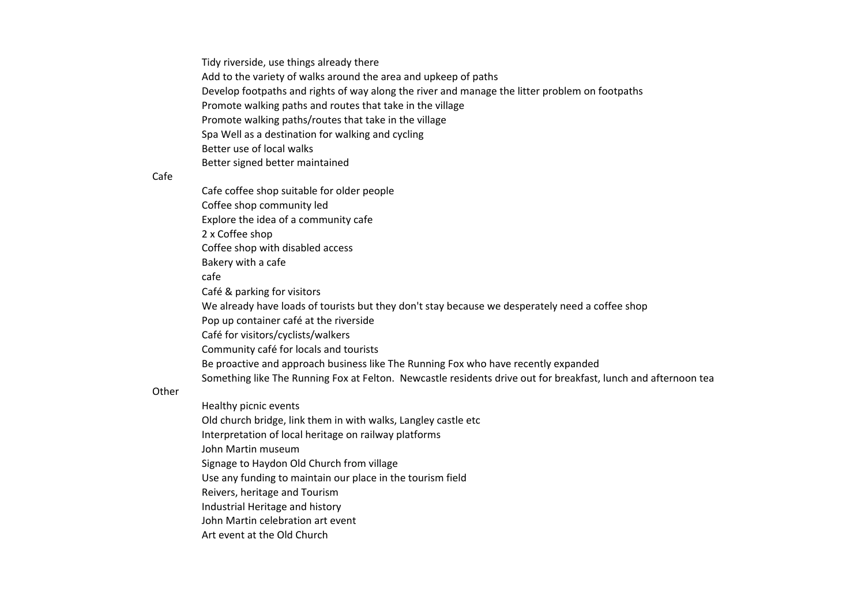Tidy riverside, use things already there Add to the variety of walks around the area and upkeep of paths Develop footpaths and rights of way along the river and manage the litter problem on footpaths Promote walking paths and routes that take in the village Promote walking paths/routes that take in the village Spa Well as a destination for walking and cycling Better use of local walks Better signed better maintained

# Cafe

Cafe coffee shop suitable for older people Coffee shop community led Explore the idea of a community cafe 2 x Coffee shop Coffee shop with disabled access Bakery with a cafe cafe Café & parking for visitors We already have loads of tourists but they don't stay because we desperately need a coffee shop Pop up container café at the riverside Café for visitors/cyclists/walkers Community café for locals and tourists Be proactive and approach business like The Running Fox who have recently expanded Something like The Running Fox at Felton. Newcastle residents drive out for breakfast, lunch and afternoon tea

#### **Other**

Healthy picnic events Interpretation of local heritage on railway platforms John Martin museum Signage to Haydon Old Church from village Use any funding to maintain our place in the tourism field Industrial Heritage and history John Martin celebration art event Art event at the Old Church Old church bridge, link them in with walks, Langley castle etc Reivers, heritage and Tourism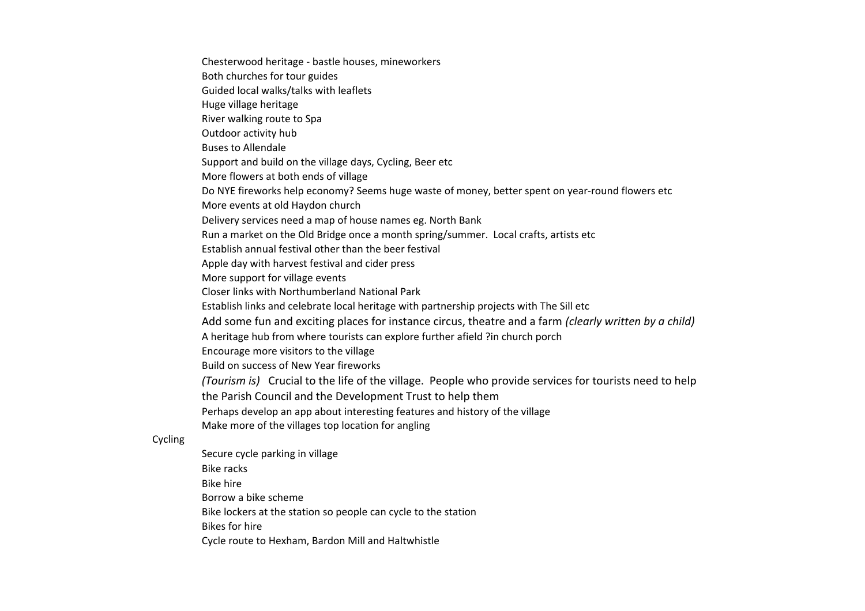Chesterwood heritage - bastle houses, mineworkers Both churches for tour guides Guided local walks/talks with leaflets Huge village heritage River walking route to Spa Outdoor activity hub Buses to Allendale More flowers at both ends of village More events at old Haydon church Establish annual festival other than the beer festival Apple day with harvest festival and cider press More support for village events Closer links with Northumberland National Park A heritage hub from where tourists can explore further afield ?in church porch Encourage more visitors to the village Build on success of New Year fireworks the Parish Council and the Development Trust to help them Perhaps develop an app about interesting features and history of the village Make more of the villages top location for angling Secure cycle parking in village Bike racks Support and build on the village days, Cycling, Beer etc Do NYE fireworks help economy? Seems huge waste of money, better spent on year-round flowers etc Delivery services need a map of house names eg. North Bank Run a market on the Old Bridge once a month spring/summer. Local crafts, artists etc Establish links and celebrate local heritage with partnership projects with The Sill etc Add some fun and exciting places for instance circus, theatre and a farm *(clearly written by a child) (Tourism is)* Crucial to the life of the village. People who provide services for tourists need to help

Bike hire

Cycling

Borrow a bike scheme

Bike lockers at the station so people can cycle to the station

- Bikes for hire
- Cycle route to Hexham, Bardon Mill and Haltwhistle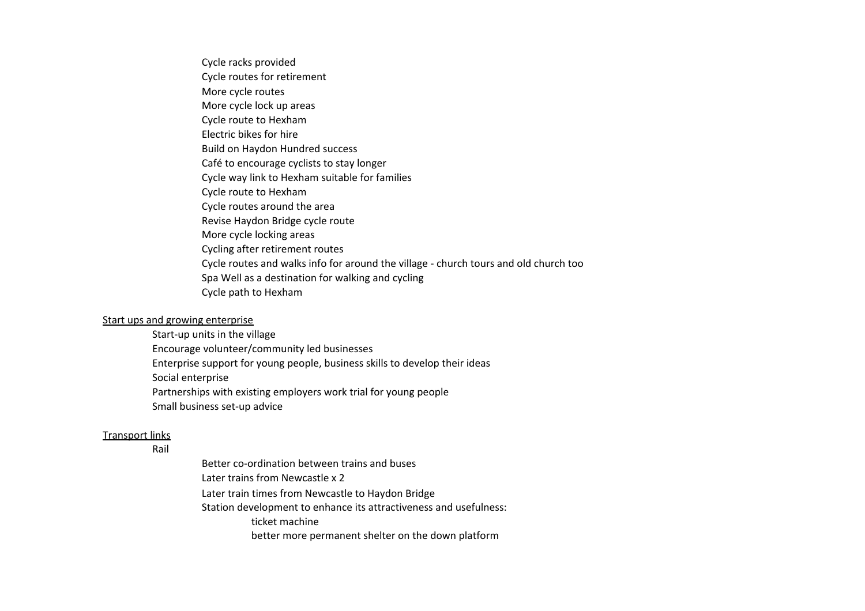Cycle racks provided Cycle routes for retirement Cycle route to Hexham Electric bikes for hire Build on Haydon Hundred success Café to encourage cyclists to stay longer Cycle way link to Hexham suitable for families Cycle route to Hexham Cycle routes around the area Revise Haydon Bridge cycle route More cycle locking areas Cycling after retirement routes Cycle routes and walks info for around the village - church tours and old church too Spa Well as a destination for walking and cycling Cycle path to Hexham More cycle routes More cycle lock up areas

# Start ups and growing enterprise

Start-up units in the village Encourage volunteer/community led businesses Enterprise support for young people, business skills to develop their ideas Social enterprise Partnerships with existing employers work trial for young people Small business set-up advice

# Transport links

Rail

Better co-ordination between trains and buses Later trains from Newcastle x 2 Later train times from Newcastle to Haydon Bridge Station development to enhance its attractiveness and usefulness: ticket machine better more permanent shelter on the down platform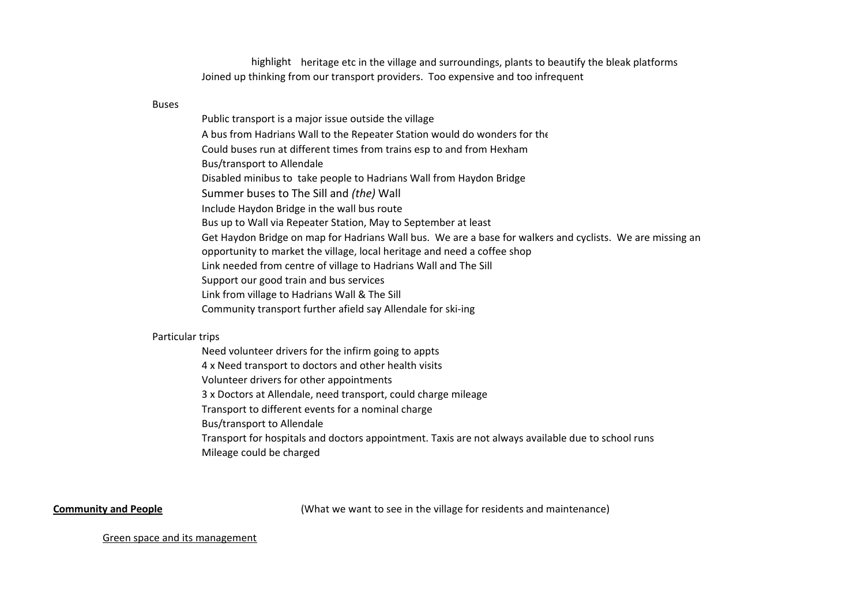highlight heritage etc in the village and surroundings, plants to beautify the bleak platforms Joined up thinking from our transport providers. Too expensive and too infrequent

#### Buses

Public transport is a major issue outside the village Could buses run at different times from trains esp to and from Hexham Bus/transport to Allendale Include Haydon Bridge in the wall bus route Bus up to Wall via Repeater Station, May to September at least opportunity to market the village, local heritage and need a coffee shop Support our good train and bus services A bus from Hadrians Wall to the Repeater Station would do wonders for the Disabled minibus to take people to Hadrians Wall from Haydon Bridge Summer buses to The Sill and *(the)* Wall Get Haydon Bridge on map for Hadrians Wall bus. We are a base for walkers and cyclists. We are missing an Link needed from centre of village to Hadrians Wall and The Sill Link from village to Hadrians Wall & The Sill Community transport further afield say Allendale for ski-ing

#### Particular trips

4 x Need transport to doctors and other health visits Volunteer drivers for other appointments 3 x Doctors at Allendale, need transport, could charge mileage Transport to different events for a nominal charge Bus/transport to Allendale Transport for hospitals and doctors appointment. Taxis are not always available due to school runs Mileage could be charged Need volunteer drivers for the infirm going to appts

**Community and People Community and People** (What we want to see in the village for residents and maintenance)

#### Green space and its management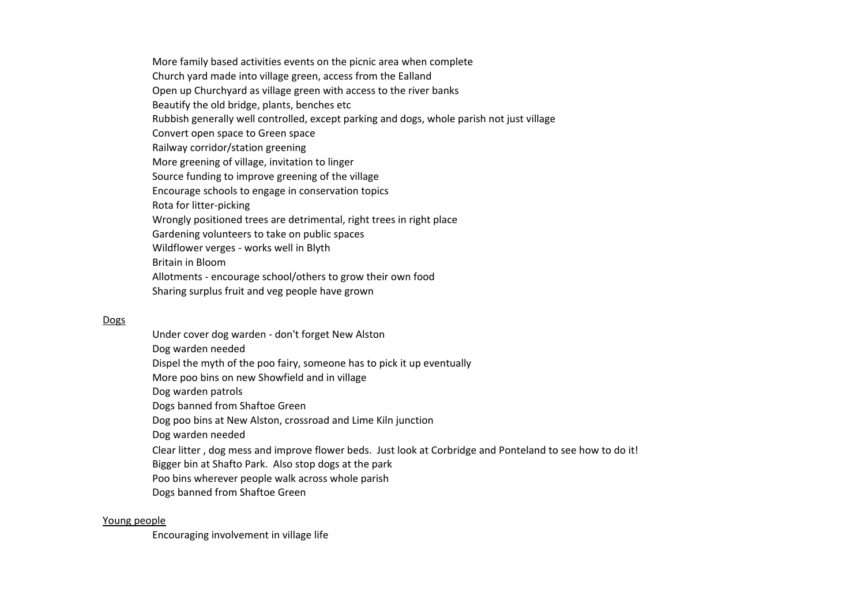More family based activities events on the picnic area when complete Open up Churchyard as village green with access to the river banks Rubbish generally well controlled, except parking and dogs, whole parish not just village Convert open space to Green space Railway corridor/station greening More greening of village, invitation to linger Source funding to improve greening of the village Encourage schools to engage in conservation topics Rota for litter-picking Wrongly positioned trees are detrimental, right trees in right place Gardening volunteers to take on public spaces Britain in Bloom Allotments - encourage school/others to grow their own food Sharing surplus fruit and veg people have grown Church yard made into village green, access from the Ealland Beautify the old bridge, plants, benches etc Wildflower verges - works well in Blyth

#### **Dogs**

Dog warden needed Dog warden patrols Dogs banned from Shaftoe Green Dog warden needed Dogs banned from Shaftoe Green Under cover dog warden - don't forget New Alston Dispel the myth of the poo fairy, someone has to pick it up eventually More poo bins on new Showfield and in village Dog poo bins at New Alston, crossroad and Lime Kiln junction Clear litter , dog mess and improve flower beds. Just look at Corbridge and Ponteland to see how to do it! Bigger bin at Shafto Park. Also stop dogs at the park Poo bins wherever people walk across whole parish

#### Young people

Encouraging involvement in village life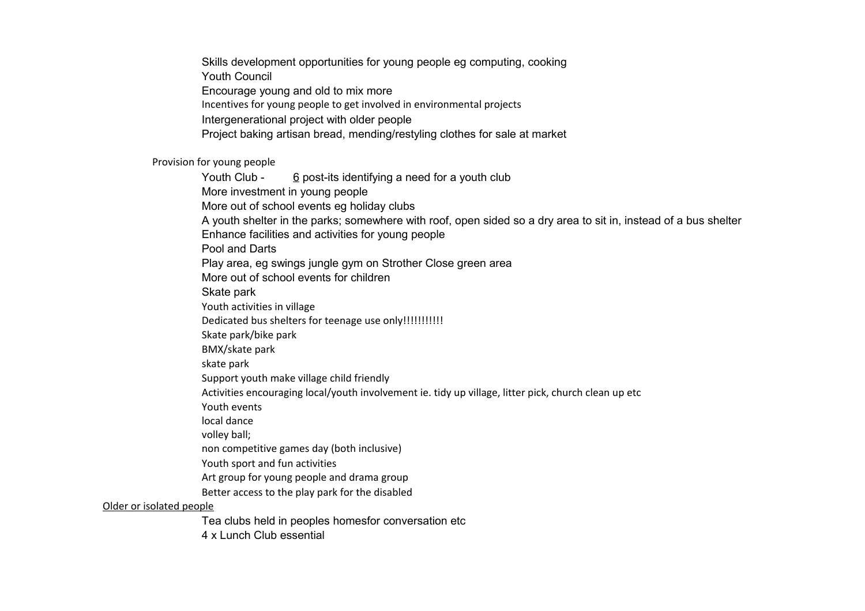Youth Council Encourage young and old to mix more Incentives for young people to get involved in environmental projects Intergenerational project with older people Project baking artisan bread, mending/restyling clothes for sale at market Skills development opportunities for young people eg computing, cooking

Provision for young people

More investment in young people A youth shelter in the parks; somewhere with roof, open sided so a dry area to sit in, instead of a bus shelter Enhance facilities and activities for young people Pool and Darts More out of school events for children Skate park Youth activities in village Dedicated bus shelters for teenage use only!!!!!!!!!!!!! Skate park/bike park BMX/skate park skate park Support youth make village child friendly Better access to the play park for the disabled Older or isolated people Youth Club - 6 post-its identifying a need for a youth club More out of school events eg holiday clubs Play area, eg swings jungle gym on Strother Close green area Activities encouraging local/youth involvement ie. tidy up village, litter pick, church clean up etc Youth events local dance volley ball; non competitive games day (both inclusive) Youth sport and fun activities Art group for young people and drama group

Tea clubs held in peoples homesfor conversation etc

4 x Lunch Club essential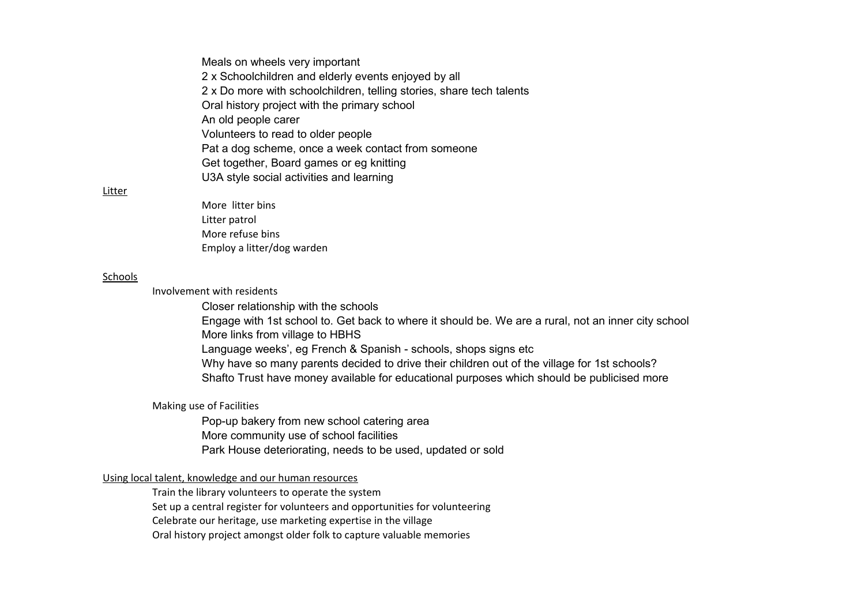Meals on wheels very important 2 x Schoolchildren and elderly events enjoyed by all 2 x Do more with schoolchildren, telling stories, share tech talents Oral history project with the primary school An old people carer Volunteers to read to older people Pat a dog scheme, once a week contact from someone U3A style social activities and learning Get together, Board games or eg knitting

#### Litter

More litter bins Litter patrol More refuse bins Employ a litter/dog warden

#### Schools

Involvement with residents

Closer relationship with the schools Engage with 1st school to. Get back to where it should be. We are a rural, not an inner city school More links from village to HBHS Why have so many parents decided to drive their children out of the village for 1st schools? Language weeks', eg French & Spanish - schools, shops signs etc Shafto Trust have money available for educational purposes which should be publicised more

# Making use of Facilities

Pop-up bakery from new school catering area More community use of school facilities Park House deteriorating, needs to be used, updated or sold

# Using local talent, knowledge and our human resources

Train the library volunteers to operate the system

Set up a central register for volunteers and opportunities for volunteering

Celebrate our heritage, use marketing expertise in the village

Oral history project amongst older folk to capture valuable memories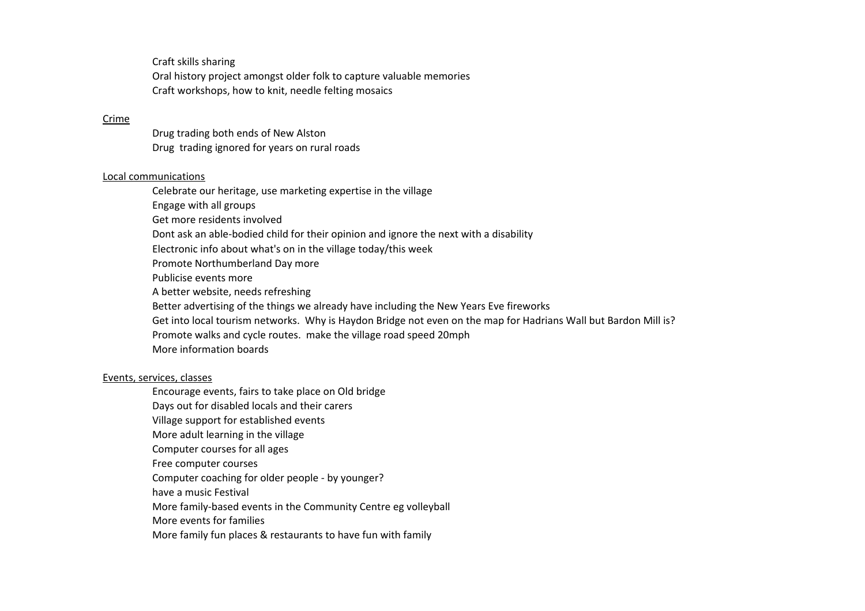Craft skills sharing Oral history project amongst older folk to capture valuable memories Craft workshops, how to knit, needle felting mosaics

#### Crime

Drug trading ignored for years on rural roads Drug trading both ends of New Alston

### Local communications

Celebrate our heritage, use marketing expertise in the village Engage with all groups Get more residents involved Electronic info about what's on in the village today/this week Promote Northumberland Day more Publicise events more A better website, needs refreshing Better advertising of the things we already have including the New Years Eve fireworks Promote walks and cycle routes. make the village road speed 20mph More information boards Dont ask an able-bodied child for their opinion and ignore the next with a disability Get into local tourism networks. Why is Haydon Bridge not even on the map for Hadrians Wall but Bardon Mill is?

# Events, services, classes

Encourage events, fairs to take place on Old bridge Days out for disabled locals and their carers Village support for established events More adult learning in the village Computer courses for all ages Free computer courses Computer coaching for older people - by younger? have a music Festival

More family-based events in the Community Centre eg volleyball

More events for families

More family fun places & restaurants to have fun with family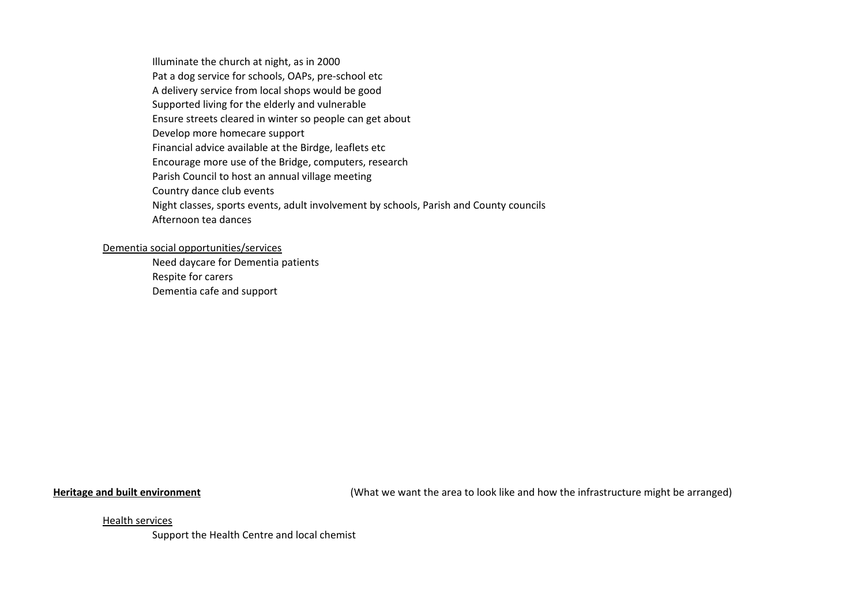Illuminate the church at night, as in 2000 A delivery service from local shops would be good Supported living for the elderly and vulnerable Ensure streets cleared in winter so people can get about Encourage more use of the Bridge, computers, research Parish Council to host an annual village meeting Country dance club events Night classes, sports events, adult involvement by schools, Parish and County councils Afternoon tea dances Pat a dog service for schools, OAPs, pre-school etc Develop more homecare support Financial advice available at the Birdge, leaflets etc

## Dementia social opportunities/services

Need daycare for Dementia patients Respite for carers Dementia cafe and support

**Heritage and built environment** (What we want the area to look like and how the infrastructure might be arranged)

Health services

Support the Health Centre and local chemist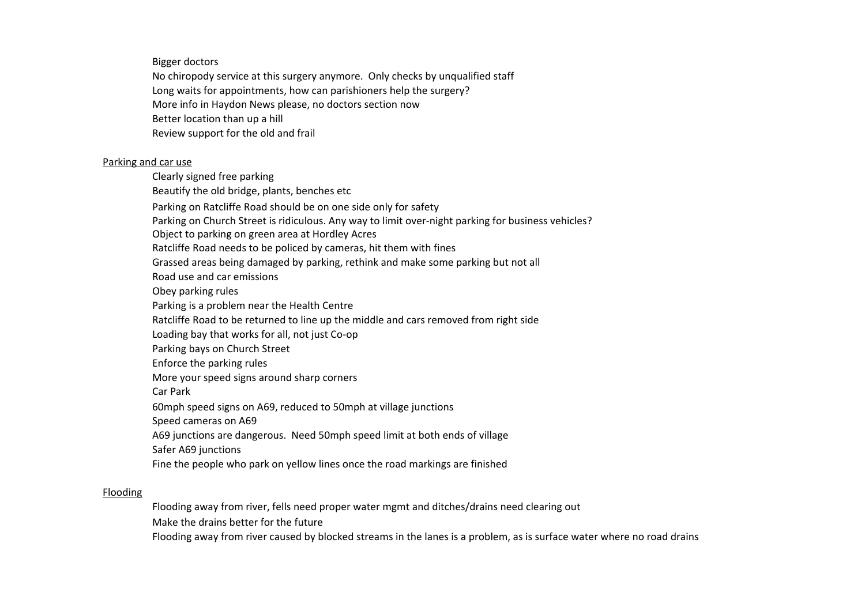Bigger doctors

Long waits for appointments, how can parishioners help the surgery? More info in Haydon News please, no doctors section now Better location than up a hill Review support for the old and frail No chiropody service at this surgery anymore. Only checks by unqualified staff

# Parking and car use

Clearly signed free parking Parking on Ratcliffe Road should be on one side only for safety Parking on Church Street is ridiculous. Any way to limit over-night parking for business vehicles? Ratcliffe Road needs to be policed by cameras, hit them with fines Grassed areas being damaged by parking, rethink and make some parking but not all Road use and car emissions Obey parking rules Parking is a problem near the Health Centre Ratcliffe Road to be returned to line up the middle and cars removed from right side Loading bay that works for all, not just Co-op Parking bays on Church Street Enforce the parking rules More your speed signs around sharp corners Car Park 60mph speed signs on A69, reduced to 50mph at village junctions Speed cameras on A69 A69 junctions are dangerous. Need 50mph speed limit at both ends of village Safer A69 junctions Fine the people who park on yellow lines once the road markings are finished Beautify the old bridge, plants, benches etc Object to parking on green area at Hordley Acres

# Flooding

Make the drains better for the future Flooding away from river caused by blocked streams in the lanes is a problem, as is surface water where no road drains Flooding away from river, fells need proper water mgmt and ditches/drains need clearing out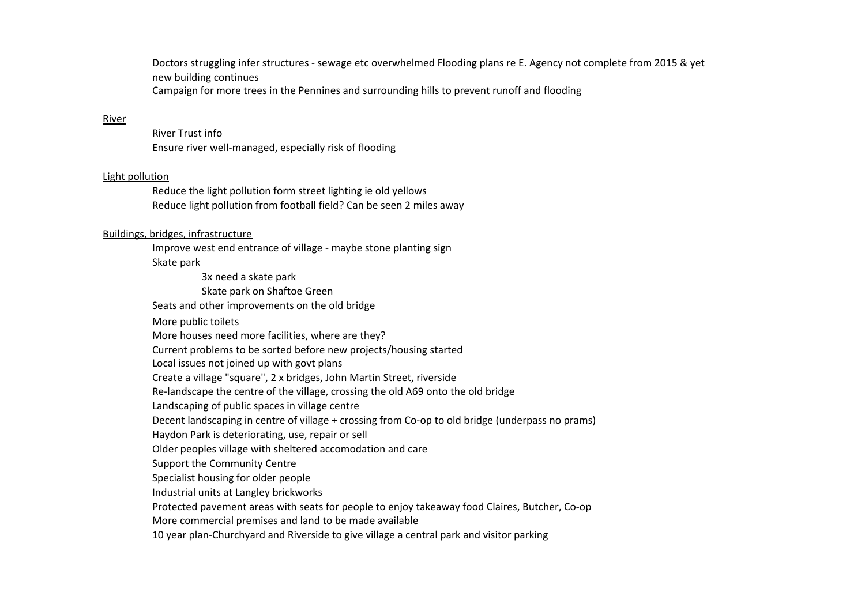new building continues Doctors struggling infer structures - sewage etc overwhelmed Flooding plans re E. Agency not complete from 2015 & yet Campaign for more trees in the Pennines and surrounding hills to prevent runoff and flooding

#### River

River Trust info Ensure river well-managed, especially risk of flooding

#### Light pollution

Reduce light pollution from football field? Can be seen 2 miles away Reduce the light pollution form street lighting ie old yellows

# Buildings, bridges, infrastructure

Improve west end entrance of village - maybe stone planting sign Skate park

3x need a skate park Skate park on Shaftoe Green Seats and other improvements on the old bridge More public toilets More houses need more facilities, where are they? Current problems to be sorted before new projects/housing started Create a village "square", 2 x bridges, John Martin Street, riverside Re-landscape the centre of the village, crossing the old A69 onto the old bridge Landscaping of public spaces in village centre Decent landscaping in centre of village + crossing from Co-op to old bridge (underpass no prams) Haydon Park is deteriorating, use, repair or sell Support the Community Centre Specialist housing for older people Industrial units at Langley brickworks More commercial premises and land to be made available 10 year plan-Churchyard and Riverside to give village a central park and visitor parking Local issues not joined up with govt plans Older peoples village with sheltered accomodation and care Protected pavement areas with seats for people to enjoy takeaway food Claires, Butcher, Co-op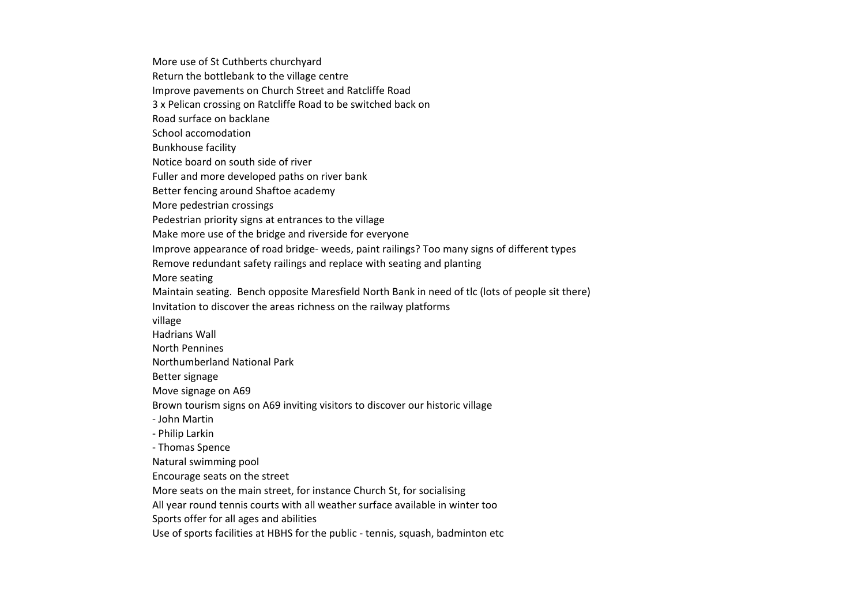Improve pavements on Church Street and Ratcliffe Road 3 x Pelican crossing on Ratcliffe Road to be switched back on Bunkhouse facility Notice board on south side of river Fuller and more developed paths on river bank Better fencing around Shaftoe academy More pedestrian crossings Pedestrian priority signs at entrances to the village Make more use of the bridge and riverside for everyone Improve appearance of road bridge- weeds, paint railings? Too many signs of different types Remove redundant safety railings and replace with seating and planting More seating Better signage Move signage on A69 Natural swimming pool Encourage seats on the street More seats on the main street, for instance Church St, for socialising All year round tennis courts with all weather surface available in winter too Sports offer for all ages and abilities More use of St Cuthberts churchyard Return the bottlebank to the village centre Road surface on backlane School accomodation Maintain seating. Bench opposite Maresfield North Bank in need of tlc (lots of people sit there) Invitation to discover the areas richness on the railway platforms village Hadrians Wall North Pennines Northumberland National Park Brown tourism signs on A69 inviting visitors to discover our historic village - John Martin - Philip Larkin - Thomas Spence Use of sports facilities at HBHS for the public - tennis, squash, badminton etc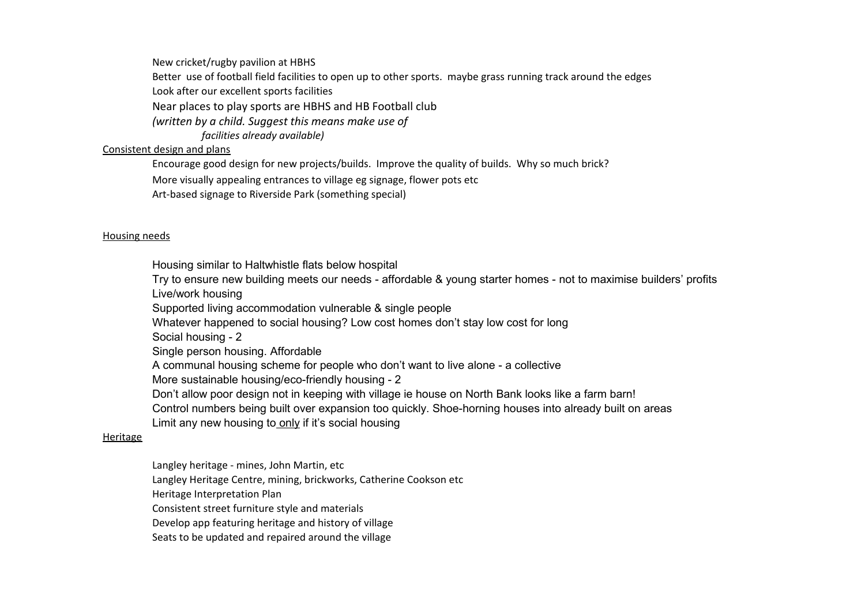New cricket/rugby pavilion at HBHS

Better use of football field facilities to open up to other sports. maybe grass running track around the edges

Look after our excellent sports facilities

Near places to play sports are HBHS and HB Football club

*(written by a child. Suggest this means make use of* 

*facilities already available)*

# Consistent design and plans

Encourage good design for new projects/builds. Improve the quality of builds. Why so much brick?

More visually appealing entrances to village eg signage, flower pots etc

Art-based signage to Riverside Park (something special)

# Housing needs

Housing similar to Haltwhistle flats below hospital

Try to ensure new building meets our needs - affordable & young starter homes - not to maximise builders' profits Live/work housing

Supported living accommodation vulnerable & single people

Whatever happened to social housing? Low cost homes don't stay low cost for long

Social housing - 2

Single person housing. Affordable

A communal housing scheme for people who don't want to live alone - a collective

More sustainable housing/eco-friendly housing - 2

Don't allow poor design not in keeping with village ie house on North Bank looks like a farm barn!

Control numbers being built over expansion too quickly. Shoe-horning houses into already built on areas

Limit any new housing to only if it's social housing

# Heritage

Langley heritage - mines, John Martin, etc

Langley Heritage Centre, mining, brickworks, Catherine Cookson etc

Heritage Interpretation Plan

Consistent street furniture style and materials

Develop app featuring heritage and history of village

Seats to be updated and repaired around the village